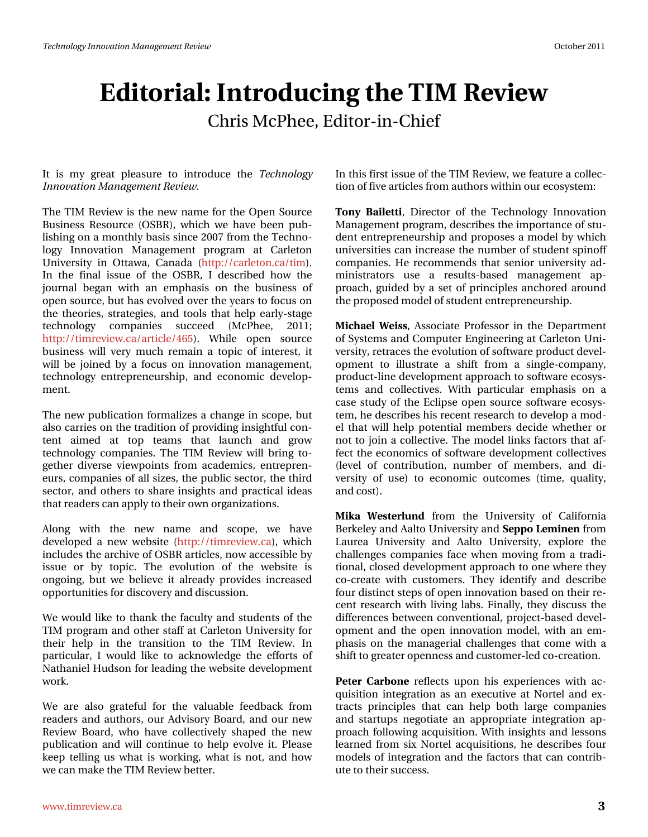## Hgiw uido#Lqwurgxflqj#wkh#NLP#Uhyihz Fkuv#f f Skhh/#-lglw u0q0Fklhi

## Lu#lv#p | #juhdw#sdndvxuh#wr#lqwurgxfh#wkh#Whfkqrorj| Lagrydwr q#P dadj hp haw#Jhylhz 1

WK h#NUP #Uhylhz #v#wk h#qhz #qdp h#iru#wk h#Rshq#Vr xuf h# Exvighw#Uhvr xuf h#+RVEU, /#z kif k#z h#kdyh#ehhq#sxe0 dvklqj#q#d#prqwko|#edvlv#vlqfh#533:#lurp#wkh#Nhfkqr0  $\sigma$ j | # Lqqrydwlrq#P dqdjhp hqw#surjudp # dw#Fdudnwrq# X glyhwlwl#lq#Rwdzd/#Fdqdgd#+kws=22fduchwr g fd2wlp, # Lg#wkh#ilgdd#lwxh#ri#wkh#RVEU/#L#ghvfulehg#krz#wkh# mxuqdo#ehjdq#zlwk#dq#hpskdvlv#rq#wkh#exvlqhvv#ri# rshq#vrxufh/#exw#kdv#hyroyhg#yhu#wkh#hduv#wr#rfxv#rq# wkh#wkhrulhv/#wudwhjlhv/#dqg#wrrov#wkdw#khos#hdudowdjh# whikqrorj|#frpsdqlhv#vxffhhg#+PfSkhh/#5344> kws=22 Mp uhylhz 1 d2d unt dn 2798, # Z kldn # r shq # vr x uf h # exvighw#z loo#yhu|#p xfk#uhp dlg#d#wrslf#ri#lqwhuhw##lw# z loo#eh#mlqhg#e|#d#irfxv#rq#lqqrydwlrq#pdqdjhphqw# whikqrorj | #hqwuhsuhqhxuvkls/#dqg#hirqrplf#ghyhors0 p hqwl

Wikh#ghz#sxedfdwirg#irupdd}hv#d#fkdqjh#lq#vfrsh/#exw# dovr#duulhv#q#wkh#wudglwlrq#ri#surylglqj#qvljkwixc#frq0 who with dip hot # dw wis # who b w # wk dw # odx of k # do q # j ur z # whfkqrorj|#frpsdqlhv1#Wkh#WLP#Uhylhz#zloo#eulqj#wr0 j hykhu#glyhuvh#ylhz srlqw#iurp #dfdghp lfv/#hqwuhsuhq0 hx w/# rp sdqlhv#i#doo#vl}hv/#wkh#sxedf#vhfwru/#wkh#wklug# vhf w u/#dqg#r wkhuv#wr#vkduh#qvljkw#dqg#sudf wlfdo#ghdv# wk dwithdghuv#dq#dsso|#wr#wkhlu#zq#ujdql}dwlrqv1#

Dor qj # z lwk # wk h # q hz # q dp h # d q g # vf r s h / # z h # k d y h # ghyhor shg#d#qhz #z hevlwh#-kws= $22$ wp uhylhz fd,/#z klfk# lqf ox ghv#wk h#duf klyh# i#RVEU#duwlf dnv/#gr z #df f hvvledn#e| # lwxh#ru#e|#wrsIf#Wkh#hyroxwlrq#ri#wkh#zhevlwh#lv# r gj r lgj /#exw#z h#ehdhyh#lw#dahdg| #sur ylghv#lgf uhdvhg# rssruwsqlwhv#ru#glvfryhu|#dqg#glvfxvvlrq1#

 $Z$  http: x og #blnh#w #wk dqn#wk h#idf x owl #dqg#vwx ghqw#ri#wk h# WLP #surjudp#dqg#rwkhu#wolii#dw#Fdudnwrq#Xqlyhuvlw|#iru# wkhlu#khos#lq#wkh#wudqvlwlrq#wr#wkh#WLP#Uhylhz1#Lq# sduwf xodu/#L#z r xog#dnh#wr#dfnqrz dngjh#wkh#hiiruw#ri# Qdwkdqlho# X gvr q# ru#bhdglqj#wkh#zhevlwh#ghyhorsphqw#  $z$ r un#

Z h#duh#dovr#judwhixo#iru#wkh#ydoxdeoh#ihhgedfn#iurp# undghuv#dqg#dxwkruv/#rxu#Dgylvrul#Erdug/#dqg#rxu#qhz# Uhylhz #Er dug/#z kr #kdyh#f r othf wlyho #vkdshg#wkh#qhz # sxedfdwir q#dqg#z loc#frqwlqxh#wr#khos#hyroyh#lw#Schdvh# nhh s# whodig i#x v#z k dw# v#z runlg j/#z k dw# v#qrw#dqg#k rz# z h# dq# dnh#k h#NLP #Uhylhz #ehwhu1

Lq#wklv#luw#wxh#i#wkh#NLP#Uhylhz/#zh#hdwxuh#d#froohf0 whrq#ti#lyh#duwlfoh∨#urp #dxwkruv#zlwklq#xu#hfrv|wwhp=

Wig | #Edlohww/#Gluhfwru#ri#wkh#Whfkgrorj | #Lggrydwrg# P dqdjhp hqwsturjudp/#ghvfulehv#wkh#p sruwdqfh#i#wx0 ghqw#nqwuhsuhqhxuvkls#dqg#sursrvhv#d#prgho#e|#zklfk# xqlyhuvlwhv#dq#qfuhdvh#wkh#qxpehu#i#wxghqw#vslqrii# frp sdqlhv#Kh#uhfrpp hqqv#wkdw#vhqlru#xqlyhuvlw|#dg0 plqlww.dwrw.#xvh#d#uhvxow/0edvhg#pdqdjhphqw#ds0 surdfk/#ixlghg#e|#d#vhw#ri#sulgflsdnv#dqfkruhg#durxgg# wkh#sursrvhg#prgho#i#wxghqw#hqwuhsuhqhxuvkls1

P If k dho #Z hl w/#Dwr fl dwh#Sur i hwr u#l q # wk h#Ghs duwp hq w # ri#V|whp v#dqg#Frpsxwhu#Hqjlqhhulqj#dw#Fduchwrq#Xql0 yhuvlw/#uhwudfhv#wkh#hyroxwlrq#i#vriwzduh#surgxfw#ghyho0 rsphqw#wr#looxwudwh#d#vkliw#iurp#d#vlqjoh0frpsdq|/# surgxfw0dqh#ghyhorsphqw#dssurdfk#wr#vriwzduh#hfrv|v0 whp v#dqg#frochfwlyhv1#Zlwk#sduwlfxodu#hpskdvlv#rq#d# f dvh#wxg|#ri#wkh#Hfdsvh#rshq#vrxufh#vriwzduh#hfrv|v0 whp /#kh#ghvfulehv#klv#uhfhqw#uhvhdufk#wr#ghyhors#d#prg0 hoth k dwiz looth hos the r who widoth hp ehuvttghflghttz k hwk huttrutt grw#wr#mlg#d#frochfwlyh1#Wkh#prgho#olgnv#idfwruw#wkdw#di0 ihfw#wkh#hfrqrplfv#ri#vriwzduh#ghyhorsphqw#roohfwlyhv# +dnyhd#ri#frqwulexwlrq/#qxpehu#ri#phpehuv/#dqg#gl0 yhuvly #ri#xvh, #wr #hfrgrp lf#rxwfrphv#+wlph/#txdolw//#  $dqq#r$  w $#$ 

PInd#Zhwhuoxqg#iurp#wkh#Xqlyhuvlw|#ri#Fddiruqld# Ehunhoh #dqg#Ddowr#Xqlyhuvlw|#dqg#Vhssr#Ohplqhq#lurp#  $\Delta$ dx uhd#X qlyhuvlw|#dqg#Ddow|#X qlyhuvlw|/#h{sor uh#wkh# fkdochqihv#frpsdqlhv#idfh#zkhq#prylqj#jurp#d#wudgl0 who qdo'# or vhg#ghyhorsphqw#dssurdfk#wr#rqh#zkhuh#wkh|# fr of undwhttz lwk#f x ww p huv#Wkh|#lghqwli|#dqg#ghvf uleh# ir xu#glwllopfw#whsv#i#shq#qqrydwlrq#edvhg#q#wkhlu#uh0 f hqw#uhvhduf k#z lwk#dylqj#odev\*#llqdoo|/#wkh|#glvfxvv#wkh# gliihuhqf hy#ehwz hhq#f r qyhqwlr qdd#sur rhf w0edvhg#ghyho0 rsp hqw#dqg#wkh#rshq#lqqrydwlrq#prgho/#zlwk#dq#hp0 skdvlv#rq#wkh#pdqdjhuldo#fkdoohqjhv#wkdw#frph#zlwk#d# vkliw # uhdwhu # shqqhvv#dqg # x w rp hu0dhg # r 0f uhdw r q 1

Shyhu#F duer gh#uhidnf w#xsrg#klv#h{shulhqf hv#zlwk#df0 t x l vlw r q #l q whj udwir q #dv#dq #h { h f x wly h #dv #Q r w ho #d q g #h { 0 wudfw#sulqflsohv#wkdw#fdq#khos#erwk#odujh#frpsdqlhv# dqg#vvduwxsv#qhjrvldwh#dq#dssursuldwh#lqvhjudwlrq#ds0 surdfk#lroorzlqj#dftxlvlwlrq1#Zlwk#lqvljkw#dqg#ohvvrqv# dnduqhg#iurp#vl{#Qruvhd#dftxlvlwlrqv/#kh#ghvfulehv#irxu# prghov#ri#lqwhjudwlrq#dqg#wkh#ldfwruv#wkdw#dq#frqwule0 x vhttp tink hluttrx ff hvv1